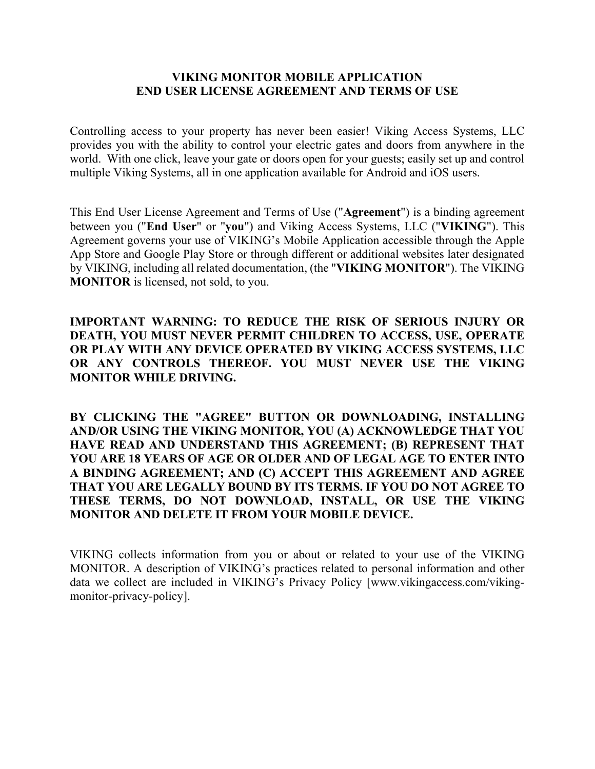### **VIKING MONITOR MOBILE APPLICATION END USER LICENSE AGREEMENT AND TERMS OF USE**

Controlling access to your property has never been easier! Viking Access Systems, LLC provides you with the ability to control your electric gates and doors from anywhere in the world. With one click, leave your gate or doors open for your guests; easily set up and control multiple Viking Systems, all in one application available for Android and iOS users.

This End User License Agreement and Terms of Use ("**Agreement**") is a binding agreement between you ("**End User**" or "**you**") and Viking Access Systems, LLC ("**VIKING**"). This Agreement governs your use of VIKING's Mobile Application accessible through the Apple App Store and Google Play Store or through different or additional websites later designated by VIKING, including all related documentation, (the "**VIKING MONITOR**"). The VIKING **MONITOR** is licensed, not sold, to you.

**IMPORTANT WARNING: TO REDUCE THE RISK OF SERIOUS INJURY OR DEATH, YOU MUST NEVER PERMIT CHILDREN TO ACCESS, USE, OPERATE OR PLAY WITH ANY DEVICE OPERATED BY VIKING ACCESS SYSTEMS, LLC OR ANY CONTROLS THEREOF. YOU MUST NEVER USE THE VIKING MONITOR WHILE DRIVING.**

**BY CLICKING THE "AGREE" BUTTON OR DOWNLOADING, INSTALLING AND/OR USING THE VIKING MONITOR, YOU (A) ACKNOWLEDGE THAT YOU HAVE READ AND UNDERSTAND THIS AGREEMENT; (B) REPRESENT THAT YOU ARE 18 YEARS OF AGE OR OLDER AND OF LEGAL AGE TO ENTER INTO A BINDING AGREEMENT; AND (C) ACCEPT THIS AGREEMENT AND AGREE THAT YOU ARE LEGALLY BOUND BY ITS TERMS. IF YOU DO NOT AGREE TO THESE TERMS, DO NOT DOWNLOAD, INSTALL, OR USE THE VIKING MONITOR AND DELETE IT FROM YOUR MOBILE DEVICE.**

VIKING collects information from you or about or related to your use of the VIKING MONITOR. A description of VIKING's practices related to personal information and other data we collect are included in VIKING's Privacy Policy [www.vikingaccess.com/vikingmonitor-privacy-policy].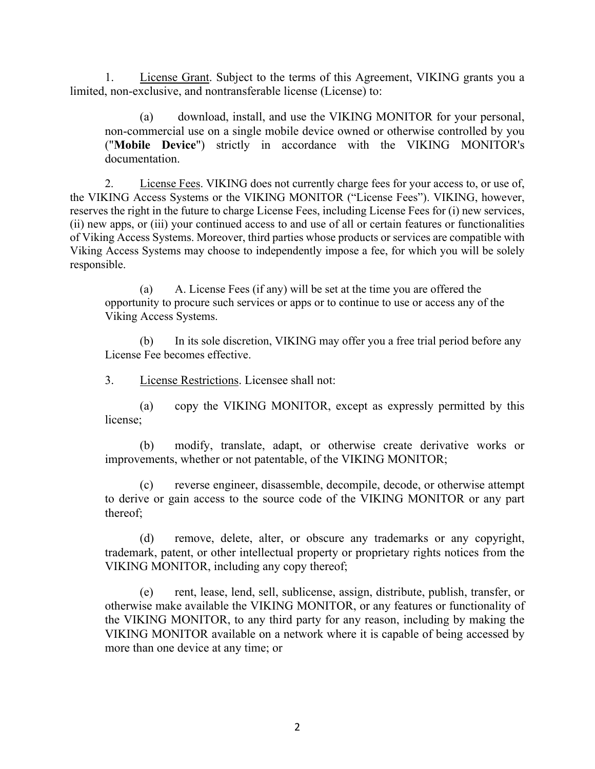1. License Grant. Subject to the terms of this Agreement, VIKING grants you a limited, non-exclusive, and nontransferable license (License) to:

(a) download, install, and use the VIKING MONITOR for your personal, non-commercial use on a single mobile device owned or otherwise controlled by you ("**Mobile Device**") strictly in accordance with the VIKING MONITOR's documentation.

2. License Fees. VIKING does not currently charge fees for your access to, or use of, the VIKING Access Systems or the VIKING MONITOR ("License Fees"). VIKING, however, reserves the right in the future to charge License Fees, including License Fees for (i) new services, (ii) new apps, or (iii) your continued access to and use of all or certain features or functionalities of Viking Access Systems. Moreover, third parties whose products or services are compatible with Viking Access Systems may choose to independently impose a fee, for which you will be solely responsible.

(a) A. License Fees (if any) will be set at the time you are offered the opportunity to procure such services or apps or to continue to use or access any of the Viking Access Systems.

(b) In its sole discretion, VIKING may offer you a free trial period before any License Fee becomes effective.

3. License Restrictions. Licensee shall not:

(a) copy the VIKING MONITOR, except as expressly permitted by this license;

(b) modify, translate, adapt, or otherwise create derivative works or improvements, whether or not patentable, of the VIKING MONITOR;

(c) reverse engineer, disassemble, decompile, decode, or otherwise attempt to derive or gain access to the source code of the VIKING MONITOR or any part thereof;

(d) remove, delete, alter, or obscure any trademarks or any copyright, trademark, patent, or other intellectual property or proprietary rights notices from the VIKING MONITOR, including any copy thereof;

(e) rent, lease, lend, sell, sublicense, assign, distribute, publish, transfer, or otherwise make available the VIKING MONITOR, or any features or functionality of the VIKING MONITOR, to any third party for any reason, including by making the VIKING MONITOR available on a network where it is capable of being accessed by more than one device at any time; or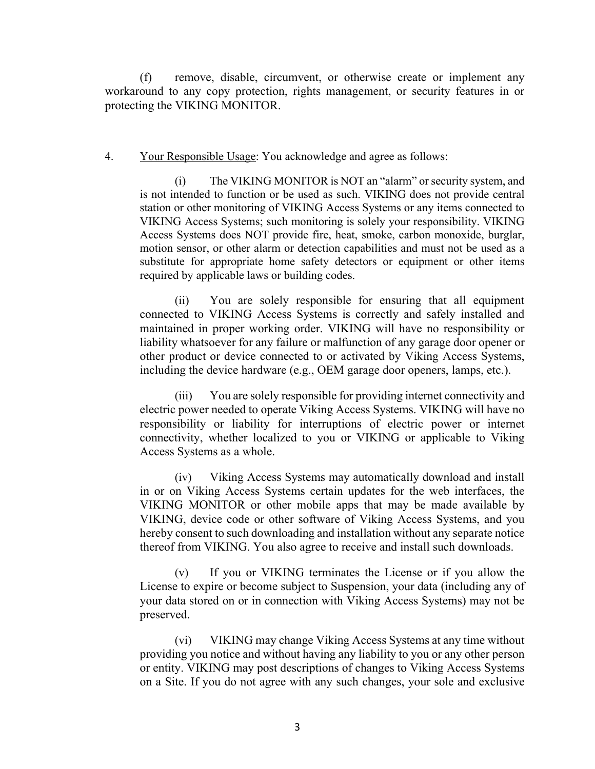(f) remove, disable, circumvent, or otherwise create or implement any workaround to any copy protection, rights management, or security features in or protecting the VIKING MONITOR.

#### 4. Your Responsible Usage: You acknowledge and agree as follows:

The VIKING MONITOR is NOT an "alarm" or security system, and is not intended to function or be used as such. VIKING does not provide central station or other monitoring of VIKING Access Systems or any items connected to VIKING Access Systems; such monitoring is solely your responsibility. VIKING Access Systems does NOT provide fire, heat, smoke, carbon monoxide, burglar, motion sensor, or other alarm or detection capabilities and must not be used as a substitute for appropriate home safety detectors or equipment or other items required by applicable laws or building codes.

(ii) You are solely responsible for ensuring that all equipment connected to VIKING Access Systems is correctly and safely installed and maintained in proper working order. VIKING will have no responsibility or liability whatsoever for any failure or malfunction of any garage door opener or other product or device connected to or activated by Viking Access Systems, including the device hardware (e.g., OEM garage door openers, lamps, etc.).

(iii) You are solely responsible for providing internet connectivity and electric power needed to operate Viking Access Systems. VIKING will have no responsibility or liability for interruptions of electric power or internet connectivity, whether localized to you or VIKING or applicable to Viking Access Systems as a whole.

(iv) Viking Access Systems may automatically download and install in or on Viking Access Systems certain updates for the web interfaces, the VIKING MONITOR or other mobile apps that may be made available by VIKING, device code or other software of Viking Access Systems, and you hereby consent to such downloading and installation without any separate notice thereof from VIKING. You also agree to receive and install such downloads.

(v) If you or VIKING terminates the License or if you allow the License to expire or become subject to Suspension, your data (including any of your data stored on or in connection with Viking Access Systems) may not be preserved.

(vi) VIKING may change Viking Access Systems at any time without providing you notice and without having any liability to you or any other person or entity. VIKING may post descriptions of changes to Viking Access Systems on a Site. If you do not agree with any such changes, your sole and exclusive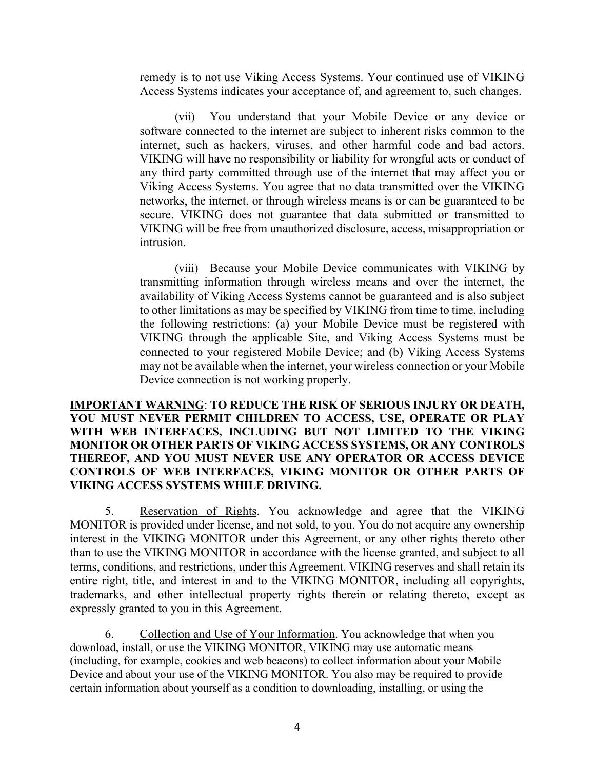remedy is to not use Viking Access Systems. Your continued use of VIKING Access Systems indicates your acceptance of, and agreement to, such changes.

(vii) You understand that your Mobile Device or any device or software connected to the internet are subject to inherent risks common to the internet, such as hackers, viruses, and other harmful code and bad actors. VIKING will have no responsibility or liability for wrongful acts or conduct of any third party committed through use of the internet that may affect you or Viking Access Systems. You agree that no data transmitted over the VIKING networks, the internet, or through wireless means is or can be guaranteed to be secure. VIKING does not guarantee that data submitted or transmitted to VIKING will be free from unauthorized disclosure, access, misappropriation or intrusion.

(viii) Because your Mobile Device communicates with VIKING by transmitting information through wireless means and over the internet, the availability of Viking Access Systems cannot be guaranteed and is also subject to other limitations as may be specified by VIKING from time to time, including the following restrictions: (a) your Mobile Device must be registered with VIKING through the applicable Site, and Viking Access Systems must be connected to your registered Mobile Device; and (b) Viking Access Systems may not be available when the internet, your wireless connection or your Mobile Device connection is not working properly.

## **IMPORTANT WARNING**: **TO REDUCE THE RISK OF SERIOUS INJURY OR DEATH, YOU MUST NEVER PERMIT CHILDREN TO ACCESS, USE, OPERATE OR PLAY WITH WEB INTERFACES, INCLUDING BUT NOT LIMITED TO THE VIKING MONITOR OR OTHER PARTS OF VIKING ACCESS SYSTEMS, OR ANY CONTROLS THEREOF, AND YOU MUST NEVER USE ANY OPERATOR OR ACCESS DEVICE CONTROLS OF WEB INTERFACES, VIKING MONITOR OR OTHER PARTS OF VIKING ACCESS SYSTEMS WHILE DRIVING.**

5. Reservation of Rights. You acknowledge and agree that the VIKING MONITOR is provided under license, and not sold, to you. You do not acquire any ownership interest in the VIKING MONITOR under this Agreement, or any other rights thereto other than to use the VIKING MONITOR in accordance with the license granted, and subject to all terms, conditions, and restrictions, under this Agreement. VIKING reserves and shall retain its entire right, title, and interest in and to the VIKING MONITOR, including all copyrights, trademarks, and other intellectual property rights therein or relating thereto, except as expressly granted to you in this Agreement.

6. Collection and Use of Your Information. You acknowledge that when you download, install, or use the VIKING MONITOR, VIKING may use automatic means (including, for example, cookies and web beacons) to collect information about your Mobile Device and about your use of the VIKING MONITOR. You also may be required to provide certain information about yourself as a condition to downloading, installing, or using the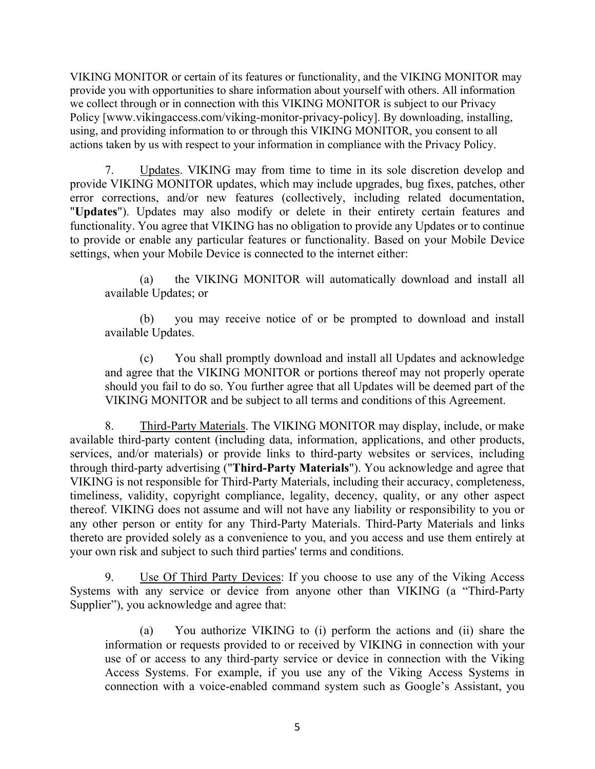VIKING MONITOR or certain of its features or functionality, and the VIKING MONITOR may provide you with opportunities to share information about yourself with others. All information we collect through or in connection with this VIKING MONITOR is subject to our Privacy Policy [www.vikingaccess.com/viking-monitor-privacy-policy]. By downloading, installing, using, and providing information to or through this VIKING MONITOR, you consent to all actions taken by us with respect to your information in compliance with the Privacy Policy.

7. Updates. VIKING may from time to time in its sole discretion develop and provide VIKING MONITOR updates, which may include upgrades, bug fixes, patches, other error corrections, and/or new features (collectively, including related documentation, "**Updates**"). Updates may also modify or delete in their entirety certain features and functionality. You agree that VIKING has no obligation to provide any Updates or to continue to provide or enable any particular features or functionality. Based on your Mobile Device settings, when your Mobile Device is connected to the internet either:

(a) the VIKING MONITOR will automatically download and install all available Updates; or

(b) you may receive notice of or be prompted to download and install available Updates.

(c) You shall promptly download and install all Updates and acknowledge and agree that the VIKING MONITOR or portions thereof may not properly operate should you fail to do so. You further agree that all Updates will be deemed part of the VIKING MONITOR and be subject to all terms and conditions of this Agreement.

8. Third-Party Materials. The VIKING MONITOR may display, include, or make available third-party content (including data, information, applications, and other products, services, and/or materials) or provide links to third-party websites or services, including through third-party advertising ("**Third-Party Materials**"). You acknowledge and agree that VIKING is not responsible for Third-Party Materials, including their accuracy, completeness, timeliness, validity, copyright compliance, legality, decency, quality, or any other aspect thereof. VIKING does not assume and will not have any liability or responsibility to you or any other person or entity for any Third-Party Materials. Third-Party Materials and links thereto are provided solely as a convenience to you, and you access and use them entirely at your own risk and subject to such third parties' terms and conditions.

9. Use Of Third Party Devices: If you choose to use any of the Viking Access Systems with any service or device from anyone other than VIKING (a "Third-Party Supplier"), you acknowledge and agree that:

(a) You authorize VIKING to (i) perform the actions and (ii) share the information or requests provided to or received by VIKING in connection with your use of or access to any third-party service or device in connection with the Viking Access Systems. For example, if you use any of the Viking Access Systems in connection with a voice-enabled command system such as Google's Assistant, you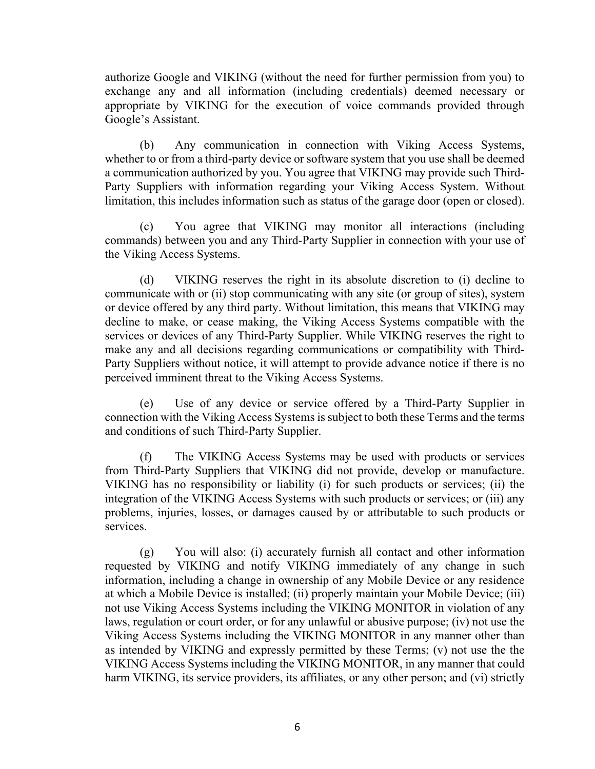authorize Google and VIKING (without the need for further permission from you) to exchange any and all information (including credentials) deemed necessary or appropriate by VIKING for the execution of voice commands provided through Google's Assistant.

(b) Any communication in connection with Viking Access Systems, whether to or from a third-party device or software system that you use shall be deemed a communication authorized by you. You agree that VIKING may provide such Third-Party Suppliers with information regarding your Viking Access System. Without limitation, this includes information such as status of the garage door (open or closed).

(c) You agree that VIKING may monitor all interactions (including commands) between you and any Third-Party Supplier in connection with your use of the Viking Access Systems.

(d) VIKING reserves the right in its absolute discretion to (i) decline to communicate with or (ii) stop communicating with any site (or group of sites), system or device offered by any third party. Without limitation, this means that VIKING may decline to make, or cease making, the Viking Access Systems compatible with the services or devices of any Third-Party Supplier. While VIKING reserves the right to make any and all decisions regarding communications or compatibility with Third-Party Suppliers without notice, it will attempt to provide advance notice if there is no perceived imminent threat to the Viking Access Systems.

(e) Use of any device or service offered by a Third-Party Supplier in connection with the Viking Access Systems is subject to both these Terms and the terms and conditions of such Third-Party Supplier.

(f) The VIKING Access Systems may be used with products or services from Third-Party Suppliers that VIKING did not provide, develop or manufacture. VIKING has no responsibility or liability (i) for such products or services; (ii) the integration of the VIKING Access Systems with such products or services; or (iii) any problems, injuries, losses, or damages caused by or attributable to such products or services.

(g) You will also: (i) accurately furnish all contact and other information requested by VIKING and notify VIKING immediately of any change in such information, including a change in ownership of any Mobile Device or any residence at which a Mobile Device is installed; (ii) properly maintain your Mobile Device; (iii) not use Viking Access Systems including the VIKING MONITOR in violation of any laws, regulation or court order, or for any unlawful or abusive purpose; (iv) not use the Viking Access Systems including the VIKING MONITOR in any manner other than as intended by VIKING and expressly permitted by these Terms; (v) not use the the VIKING Access Systems including the VIKING MONITOR, in any manner that could harm VIKING, its service providers, its affiliates, or any other person; and (vi) strictly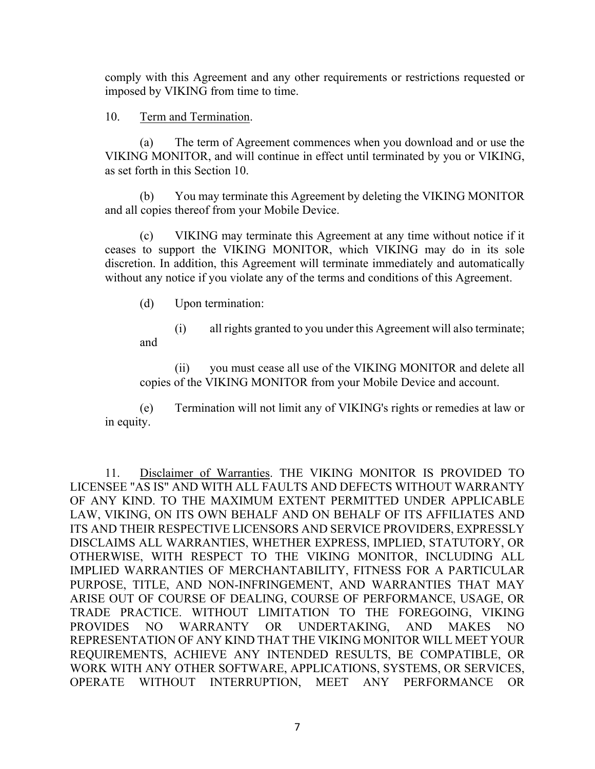comply with this Agreement and any other requirements or restrictions requested or imposed by VIKING from time to time.

# 10. Term and Termination.

(a) The term of Agreement commences when you download and or use the VIKING MONITOR, and will continue in effect until terminated by you or VIKING, as set forth in this Section 10.

(b) You may terminate this Agreement by deleting the VIKING MONITOR and all copies thereof from your Mobile Device.

(c) VIKING may terminate this Agreement at any time without notice if it ceases to support the VIKING MONITOR, which VIKING may do in its sole discretion. In addition, this Agreement will terminate immediately and automatically without any notice if you violate any of the terms and conditions of this Agreement.

(d) Upon termination:

(i) all rights granted to you under this Agreement will also terminate; and

(ii) you must cease all use of the VIKING MONITOR and delete all copies of the VIKING MONITOR from your Mobile Device and account.

(e) Termination will not limit any of VIKING's rights or remedies at law or in equity.

11. Disclaimer of Warranties. THE VIKING MONITOR IS PROVIDED TO LICENSEE "AS IS" AND WITH ALL FAULTS AND DEFECTS WITHOUT WARRANTY OF ANY KIND. TO THE MAXIMUM EXTENT PERMITTED UNDER APPLICABLE LAW, VIKING, ON ITS OWN BEHALF AND ON BEHALF OF ITS AFFILIATES AND ITS AND THEIR RESPECTIVE LICENSORS AND SERVICE PROVIDERS, EXPRESSLY DISCLAIMS ALL WARRANTIES, WHETHER EXPRESS, IMPLIED, STATUTORY, OR OTHERWISE, WITH RESPECT TO THE VIKING MONITOR, INCLUDING ALL IMPLIED WARRANTIES OF MERCHANTABILITY, FITNESS FOR A PARTICULAR PURPOSE, TITLE, AND NON-INFRINGEMENT, AND WARRANTIES THAT MAY ARISE OUT OF COURSE OF DEALING, COURSE OF PERFORMANCE, USAGE, OR TRADE PRACTICE. WITHOUT LIMITATION TO THE FOREGOING, VIKING PROVIDES NO WARRANTY OR UNDERTAKING, AND MAKES NO REPRESENTATION OF ANY KIND THAT THE VIKING MONITOR WILL MEET YOUR REQUIREMENTS, ACHIEVE ANY INTENDED RESULTS, BE COMPATIBLE, OR WORK WITH ANY OTHER SOFTWARE, APPLICATIONS, SYSTEMS, OR SERVICES, OPERATE WITHOUT INTERRUPTION, MEET ANY PERFORMANCE OR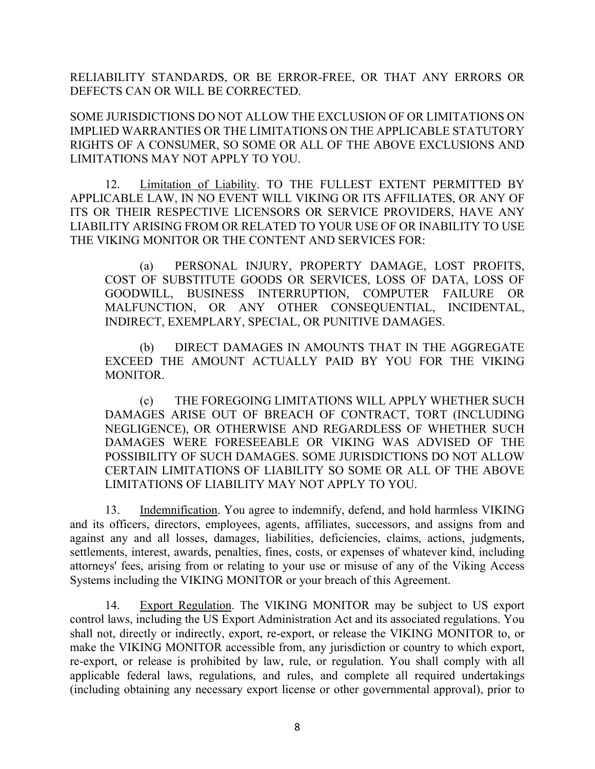RELIABILITY STANDARDS, OR BE ERROR-FREE, OR THAT ANY ERRORS OR DEFECTS CAN OR WILL BE CORRECTED.

SOME JURISDICTIONS DO NOT ALLOW THE EXCLUSION OF OR LIMITATIONS ON IMPLIED WARRANTIES OR THE LIMITATIONS ON THE APPLICABLE STATUTORY RIGHTS OF A CONSUMER, SO SOME OR ALL OF THE ABOVE EXCLUSIONS AND LIMITATIONS MAY NOT APPLY TO YOU.

12. Limitation of Liability. TO THE FULLEST EXTENT PERMITTED BY APPLICABLE LAW, IN NO EVENT WILL VIKING OR ITS AFFILIATES, OR ANY OF ITS OR THEIR RESPECTIVE LICENSORS OR SERVICE PROVIDERS, HAVE ANY LIABILITY ARISING FROM OR RELATED TO YOUR USE OF OR INABILITY TO USE THE VIKING MONITOR OR THE CONTENT AND SERVICES FOR:

(a) PERSONAL INJURY, PROPERTY DAMAGE, LOST PROFITS, COST OF SUBSTITUTE GOODS OR SERVICES, LOSS OF DATA, LOSS OF GOODWILL, BUSINESS INTERRUPTION, COMPUTER FAILURE OR MALFUNCTION, OR ANY OTHER CONSEQUENTIAL, INCIDENTAL, INDIRECT, EXEMPLARY, SPECIAL, OR PUNITIVE DAMAGES.

(b) DIRECT DAMAGES IN AMOUNTS THAT IN THE AGGREGATE EXCEED THE AMOUNT ACTUALLY PAID BY YOU FOR THE VIKING MONITOR.

(c) THE FOREGOING LIMITATIONS WILL APPLY WHETHER SUCH DAMAGES ARISE OUT OF BREACH OF CONTRACT, TORT (INCLUDING NEGLIGENCE), OR OTHERWISE AND REGARDLESS OF WHETHER SUCH DAMAGES WERE FORESEEABLE OR VIKING WAS ADVISED OF THE POSSIBILITY OF SUCH DAMAGES. SOME JURISDICTIONS DO NOT ALLOW CERTAIN LIMITATIONS OF LIABILITY SO SOME OR ALL OF THE ABOVE LIMITATIONS OF LIABILITY MAY NOT APPLY TO YOU.

13. Indemnification. You agree to indemnify, defend, and hold harmless VIKING and its officers, directors, employees, agents, affiliates, successors, and assigns from and against any and all losses, damages, liabilities, deficiencies, claims, actions, judgments, settlements, interest, awards, penalties, fines, costs, or expenses of whatever kind, including attorneys' fees, arising from or relating to your use or misuse of any of the Viking Access Systems including the VIKING MONITOR or your breach of this Agreement.

14. Export Regulation. The VIKING MONITOR may be subject to US export control laws, including the US Export Administration Act and its associated regulations. You shall not, directly or indirectly, export, re-export, or release the VIKING MONITOR to, or make the VIKING MONITOR accessible from, any jurisdiction or country to which export, re-export, or release is prohibited by law, rule, or regulation. You shall comply with all applicable federal laws, regulations, and rules, and complete all required undertakings (including obtaining any necessary export license or other governmental approval), prior to